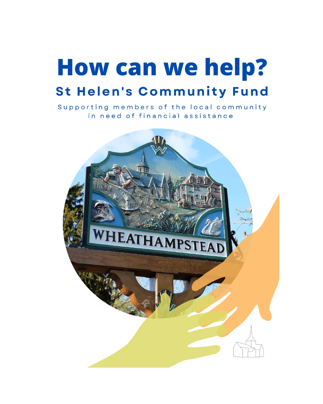# **How can we help? St Helen's Community Fund**

Supporting members of the local community in need of financial assistance

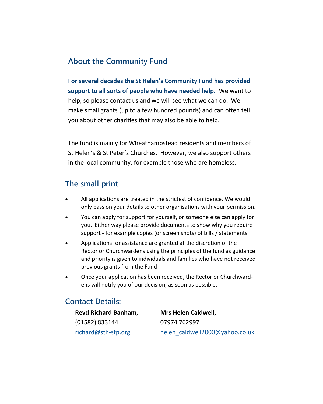#### **About the Community Fund**

**For several decades the St Helen's Community Fund has provided support to all sorts of people who have needed help.** We want to help, so please contact us and we will see what we can do. We make small grants (up to a few hundred pounds) and can often tell you about other charities that may also be able to help.

The fund is mainly for Wheathampstead residents and members of St Helen's & St Peter's Churches. However, we also support others in the local community, for example those who are homeless.

#### **The small print**

- All applications are treated in the strictest of confidence. We would only pass on your details to other organisations with your permission.
- You can apply for support for yourself, or someone else can apply for you. Either way please provide documents to show why you require support - for example copies (or screen shots) of bills / statements.
- Applications for assistance are granted at the discretion of the Rector or Churchwardens using the principles of the fund as guidance and priority is given to individuals and families who have not received previous grants from the Fund
- Once your application has been received, the Rector or Churchwardens will notify you of our decision, as soon as possible.

#### **Contact Details:**

**Revd Richard Banham**, (01582) 833144 [richard@sth](mailto:richard@sth-stp.org)-stp.org

**Mrs Helen Caldwell,** 07974 762997 helen\_caldwell2000@yahoo.co.uk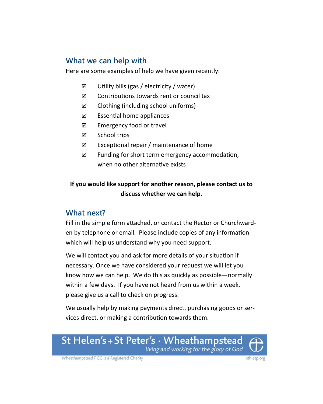### **What we can help with**

Here are some examples of help we have given recently:

- $\boxtimes$  Utility bills (gas / electricity / water)
- Contributions towards rent or council tax
- $\boxtimes$  Clothing (including school uniforms)
- $\boxtimes$  Essential home appliances
- $\boxtimes$  Emergency food or travel
- $\boxtimes$  School trips
- $\boxtimes$  Exceptional repair / maintenance of home
- $\boxtimes$  Funding for short term emergency accommodation, when no other alternative exists

#### **If you would like support for another reason, please contact us to discuss whether we can help.**

#### **What next?**

Fill in the simple form attached, or contact the Rector or Churchwarden by telephone or email. Please include copies of any information which will help us understand why you need support.

We will contact you and ask for more details of your situation if necessary. Once we have considered your request we will let you know how we can help. We do this as quickly as possible—normally within a few days. If you have not heard from us within a week, please give us a call to check on progress.

We usually help by making payments direct, purchasing goods or services direct, or making a contribution towards them.





Wheathampstead PCC is a Registered Charity